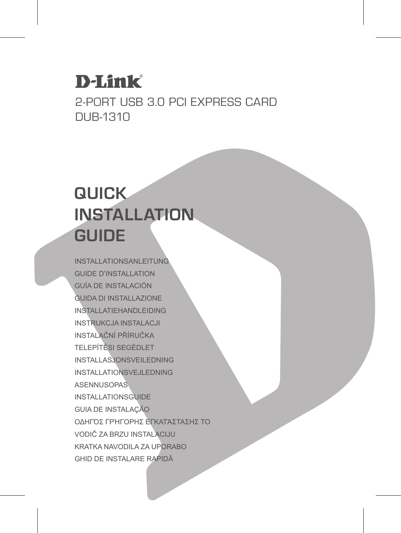## **D-Link**

2-Port USB 3.0 PCI Express Card DUB-1310

## **QUICK INSTALLATION GUIDE**

INSTALLATIONSANLEITUNG GUIDE D'INSTALLATION GUÍA DE INSTALACIÓN GUIDA DI INSTALLAZIONE INSTALLATIEHANDLEIDING INSTRUKCJA INSTALACJI INSTALAČNÍ PŘÍRUČKA TELEPÍTÉSI SEGÉDLET INSTALLASJONSVEILEDNING INSTALLATIONSVEJLEDNING ASENNUSOPAS INSTALLATIONSGUIDE GUIA DE INSTALAÇÃO ΟΔΗΓΌΣ ΓΡΉΓΟΡΗΣ ΕΓΚΑΤΆΣΤΑΣΗΣ ΤΟ VODIČ ZA BRZU INSTALACIJU KRATKA NAVODILA ZA UPORABO GHID DE INSTALARE RAPIDĂ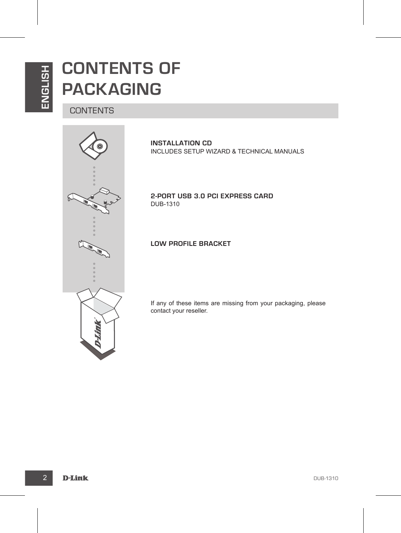## **CONTENTS OF PACKAGING**

**CONTENTS** 



**INSTALLATION CD**  INCLUDES SETUP WIZARD & TECHNICAL MANUALS

**2-Port USB 3.0 PCI Express Card** DUB-1310

**Low Profile bracket**

If any of these items are missing from your packaging, please contact your reseller.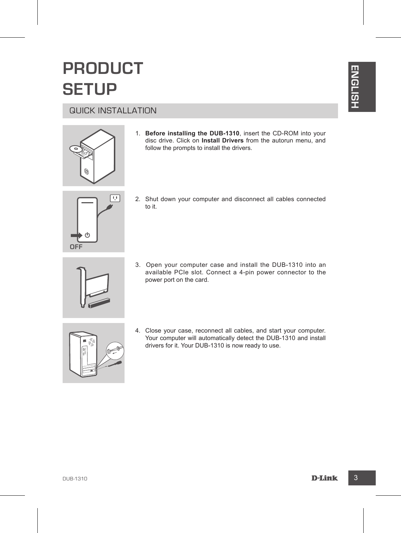## **PRODUCT SETUP**

#### QUICK INSTALLATION





1. **Before installing the DUB-1310**, insert the CD-ROM into your disc drive. Click on **Install Drivers** from the autorun menu, and follow the prompts to install the drivers.



2. Shut down your computer and disconnect all cables connected to it.



3. Open your computer case and install the DUB-1310 into an available PCIe slot. Connect a 4-pin power connector to the power port on the card.



**DETUP**<br>
GUICK INSTALLATION<br>
1. Before installing the DUB-1310, insert the CD-ROM into your<br>
tollow the prompte is musil the diverse.<br>
Dub-the prompte is musil the diverse.<br>
2. Shot down your computer and disconnect all ca 4. Close your case, reconnect all cables, and start your computer. Your computer will automatically detect the DUB-1310 and install drivers for it. Your DUB-1310 is now ready to use.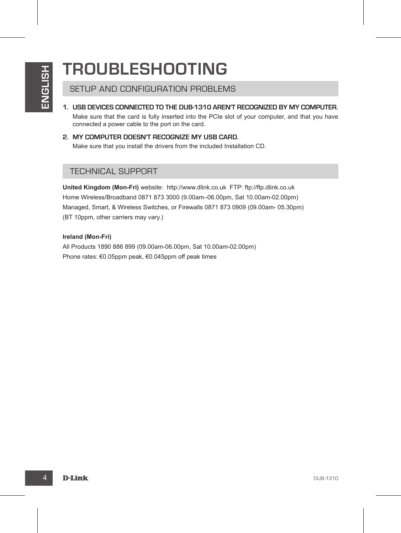## **TROUBLESHOOTING**

SETUP AND CONFIGURATION PROBLEMS

- **1. USB devices connected to the DUB-1310 aren't recognized by my computer.** Make sure that the card is fully inserted into the PCIe slot of your computer, and that you have connected a power cable to the port on the card.
- **2. My computer doesn't recognize my USB card.** Make sure that you install the drivers from the included Installation CD.

#### TECHNICAL SUPPORT

**HEAD CONFIGURATION PROBLEMS**<br>
SETUP AND CONFIGURATION PROBLEMS<br>
IN this sum that the card is fully inserted into the PCIs also PCI and A your computer, and that you have<br>
to connect a convert and the fully material into t **United Kingdom (Mon-Fri)** website: http://www.dlink.co.uk FTP: ftp://ftp.dlink.co.uk Home Wireless/Broadband 0871 873 3000 (9.00am–06.00pm, Sat 10.00am-02.00pm) Managed, Smart, & Wireless Switches, or Firewalls 0871 873 0909 (09.00am- 05.30pm) (BT 10ppm, other carriers may vary.)

#### **Ireland (Mon-Fri)**

All Products 1890 886 899 (09.00am-06.00pm, Sat 10.00am-02.00pm) Phone rates: €0.05ppm peak, €0.045ppm off peak times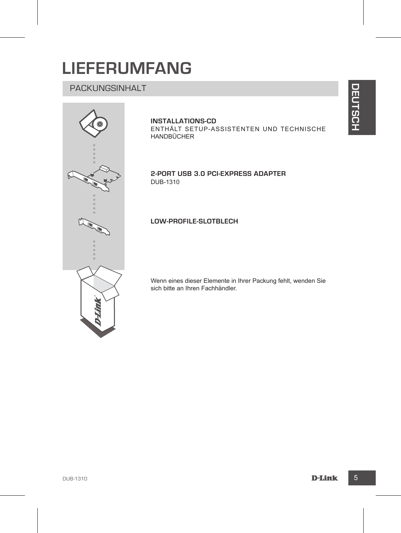## **Lieferumfang**

## Packungsinhalt



#### **INSTALLATIONS-CD**

ENTHÄLT SETUP-ASSISTENTEN UND TECHNISCHE HANDBÜCHER

**2-Port USB 3.0 PCI-Express Adapter**  DUB-1310

#### **Low-Profile-Slotblech**

Wenn eines dieser Elemente in Ihrer Packung fehlt, wenden Sie sich bitte an Ihren Fachhändler.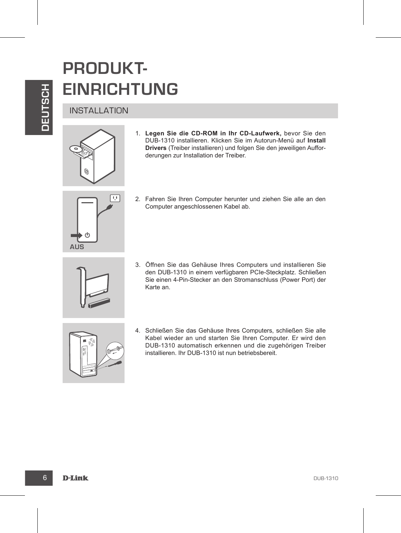## **PRODUKT-EINRICHTUNG**

#### **INSTALLATION**



**EINRICHTUNG**<br>
INSTALLATION<br>
1. Legen Sie die CD-ROM in the CD-Lautwerk, bevor Sie den<br>
Division Since the CD-ROM in the CD-Lautwerk, bevor Sie den<br>
Division Since Transformation can method on the motion of the Computer an 1. **Legen Sie die CD-ROM in Ihr CD-Laufwerk,** bevor Sie den DUB-1310 installieren. Klicken Sie im Autorun-Menü auf **Install Drivers** (Treiber installieren) und folgen Sie den jeweiligen Aufforderungen zur Installation der Treiber.



2. Fahren Sie Ihren Computer herunter und ziehen Sie alle an den Computer angeschlossenen Kabel ab.



3. Öffnen Sie das Gehäuse Ihres Computers und installieren Sie den DUB-1310 in einem verfügbaren PCIe-Steckplatz. Schließen Sie einen 4-Pin-Stecker an den Stromanschluss (Power Port) der Karte an.



4. Schließen Sie das Gehäuse Ihres Computers, schließen Sie alle Kabel wieder an und starten Sie Ihren Computer. Er wird den DUB-1310 automatisch erkennen und die zugehörigen Treiber installieren. Ihr DUB-1310 ist nun betriebsbereit.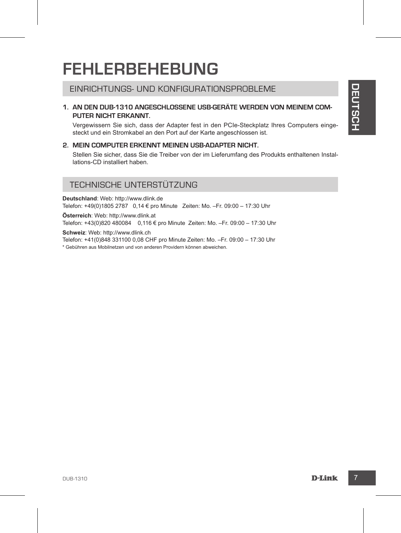## **FEHLERBEHEBUNG**

#### Einrichtungs- und KONFIGURATIONSPROBLEME

# EINRICHTUNGS- UND KONFIGURATIONSPROBLEME<br>
1. AN DEN DUB-1310 ANGESCHLOSSENE USB-GFAÄTE WERDEN VON MEINEM OOM-<br>
PUTER NICHT ERKANNT.<br>
PUTER NICHT ERKANNT.<br>
2. MEIN OOM-UTER ERKENNT MEINEN USB-ADAPTER NICHT.<br>
2. MEIN OOM-UTE **1. An den DUB-1310 angeschlossene USB-Geräte werden von meinem Computer nicht erkannt.**

Vergewissern Sie sich, dass der Adapter fest in den PCIe-Steckplatz Ihres Computers eingesteckt und ein Stromkabel an den Port auf der Karte angeschlossen ist.

#### **2. Mein Computer erkennt meinen USB-Adapter nicht.**

Stellen Sie sicher, dass Sie die Treiber von der im Lieferumfang des Produkts enthaltenen Installations-CD installiert haben.

#### TECHNISCHE UNTERSTÜTZUNG

**Deutschland**: Web: http://www.dlink.de Telefon: +49(0)1805 2787 0,14 € pro Minute Zeiten: Mo. –Fr. 09:00 – 17:30 Uhr

**Österreich**: Web: http://www.dlink.at Telefon: +43(0)820 480084 0,116 € pro Minute Zeiten: Mo. –Fr. 09:00 – 17:30 Uhr

**Schweiz**: Web: http://www.dlink.ch

Telefon: +41(0)848 331100 0,08 CHF pro Minute Zeiten: Mo. –Fr. 09:00 – 17:30 Uhr

\* Gebühren aus Mobilnetzen und von anderen Providern können abweichen.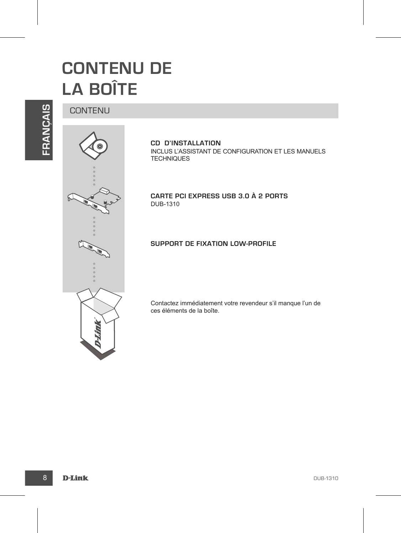## **CONTENU DE LA BOÎTE**

**FRANÇAIS**

#### CONTENU



**CD D'INSTALLATION**  INCLUS L'ASSISTANT DE CONFIGURATION ET LES MANUELS **TECHNIQUES** 

**Carte PCI Express USB 3.0 à 2 ports** DUB-1310

#### **Support de fixation Low-PROFile**

Contactez immédiatement votre revendeur s'il manque l'un de ces éléments de la boîte.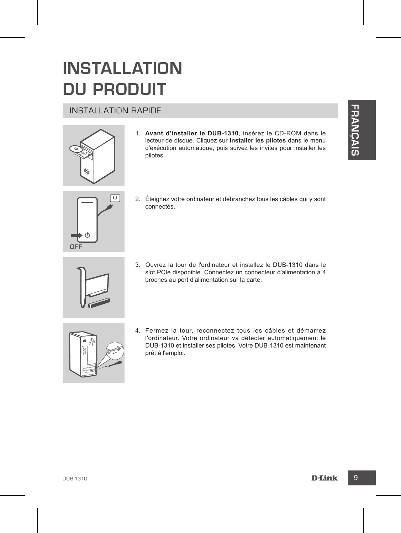## **INSTALLATION DU PRODUIT**

#### INSTALLATION RAPIDE



1. **Avant d'installer le DUB-1310**, insérez le CD-ROM dans le lecteur de disque. Cliquez sur **Installer les pilotes** dans le menu d'exécution automatique, puis suivez les invites pour installer les pilotes.

# **F RANÇAIS**



2. Éteignez votre ordinateur et débranchez tous les câbles qui y sont connectés.



3. Ouvrez la tour de l'ordinateur et installez le DUB-1310 dans le slot PCIe disponible. Connectez un connecteur d'alimentation à 4 broches au port d'alimentation sur la carte.



4. Fermez la tour, reconnectez tous les câbles et démarrez l'ordinateur. Votre ordinateur va détecter automatiquement le DUB-1310 et installer ses pilotes. Votre DUB-1310 est maintenant prêt à l'emploi.

DUB-1310 9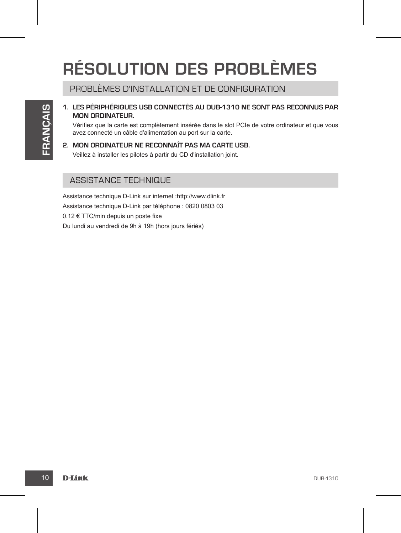# **RÉSOLUTION DES PROBLÈMES**

PROBLÈMES D'INSTALLATION ET DE CONFIGURATION

#### **1. Les périphériques USB connectés au DUB-1310 ne sont pas reconnus par mon ordinateur.**

Vérifiez que la carte est complètement insérée dans le slot PCIe de votre ordinateur et que vous avez connecté un câble d'alimentation au port sur la carte.

#### **2. Mon ordinateur ne reconnaît pas ma carte USB.** Veillez à installer les pilotes à partir du CD d'installation joint.

#### ASSISTANCE TECHNIQUE

Assistance technique D-Link sur internet :http://www.dlink.fr Assistance technique D-Link par téléphone : 0820 0803 03 0.12 € TTC/min depuis un poste fixe Du lundi au vendredi de 9h à 19h (hors jours fériés)

10 D-Link Design and Design and Design and Design and Design and Design and Design and Design and Design and D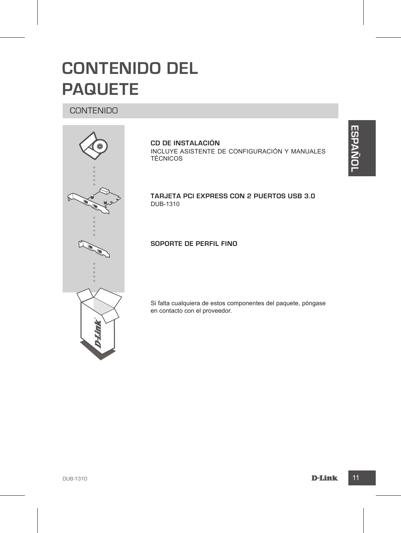## **CONTENIDO DEL PAQUETE**

#### CONTENIDO



**CD DE INSTALACIÓN**  INCLUYE ASISTENTE DE CONFIGURACIÓN Y MANUALES TÉCNICOS

**Tarjeta PCI Express con 2 puertos USB 3.0**  DUB-1310

**Soporte de perfil fino**

Si falta cualquiera de estos componentes del paquete, póngase en contacto con el proveedor.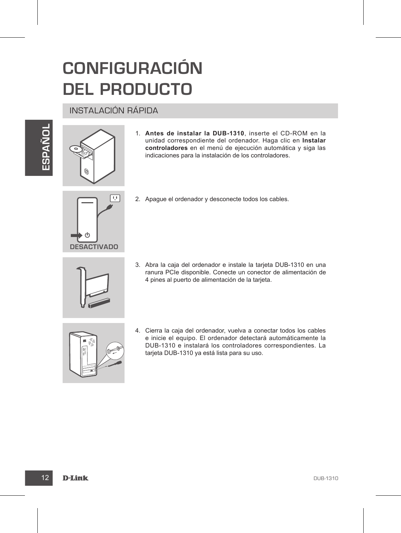## **CONFIGURACIÓN DEL PRODUCTO**

#### INSTALACIÓN RÁPIDA





1. **Antes de instalar la DUB-1310**, inserte el CD-ROM en la unidad correspondiente del ordenador. Haga clic en **Instalar controladores** en el menú de ejecución automática y siga las indicaciones para la instalación de los controladores.



2. Apague el ordenador y desconecte todos los cables.



3. Abra la caja del ordenador e instale la tarjeta DUB-1310 en una ranura PCIe disponible. Conecte un conector de alimentación de 4 pines al puerto de alimentación de la tarjeta.



1. Antes de instalar la DUB-1310, inserte el CD-ROM en la unidade derressondiente del créencor. Hogarolie ca instalar<br>
unidade derressondiente del créencor. Hogarolies en signalista<br>
midiciones para la instalación de los c 4. Cierra la caja del ordenador, vuelva a conectar todos los cables e inicie el equipo. El ordenador detectará automáticamente la DUB-1310 e instalará los controladores correspondientes. La tarjeta DUB-1310 ya está lista para su uso.

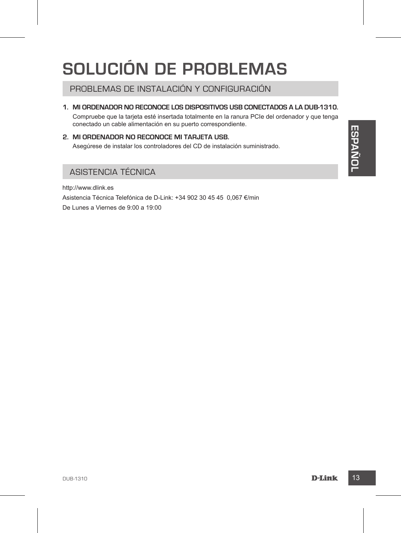## **SOLUCIÓN DE PROBLEMAS**

PROBLEMAS DE INSTALACIÓN Y CONFIGURACIÓN

**1. Mi ordenador no reconoce los dispositivos USB conectados a la DUB-1310.**

Compruebe que la tarjeta esté insertada totalmente en la ranura PCIe del ordenador y que tenga conectado un cable alimentación en su puerto correspondiente.

**2. Mi ordenador no reconoce mi tarjeta USB.** Asegúrese de instalar los controladores del CD de instalación suministrado.

#### ASISTENCIA TÉCNICA

**DUB-2130**<br>
Associates de instalar los controladores del CD de instalación suministrado.<br>
ASISTENCIA TÉCNICA<br>
MELANowww.dlink.es<br>
De Lunes a Vernes de 9.00 a 19:00<br>
De Lunes a Vernes de 9.00 a 19:00<br>
De Lunes a Vernes de 9 http://www.dlink.es Asistencia Técnica Telefónica de D-Link: +34 902 30 45 45 0,067 €/min De Lunes a Viernes de 9:00 a 19:00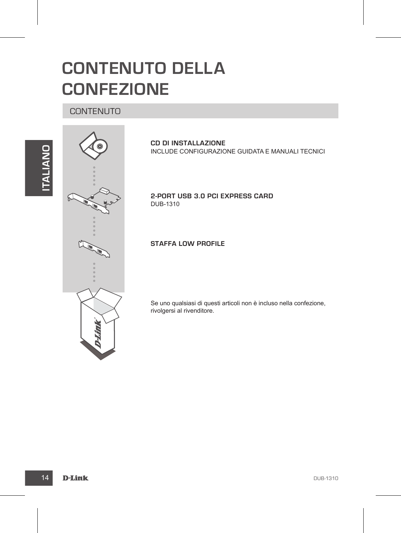## **CONTENUTO DELLA CONFEZIONE**

#### CONTENUTO



**CD DI INSTALLAZIONE**  INCLUDE CONFIGURAZIONE GUIDATA E MANUALI TECNICI

**2-Port USB 3.0 PCI Express Card** DUB-1310

**Staffa low profile**

Se uno qualsiasi di questi articoli non è incluso nella confezione, rivolgersi al rivenditore.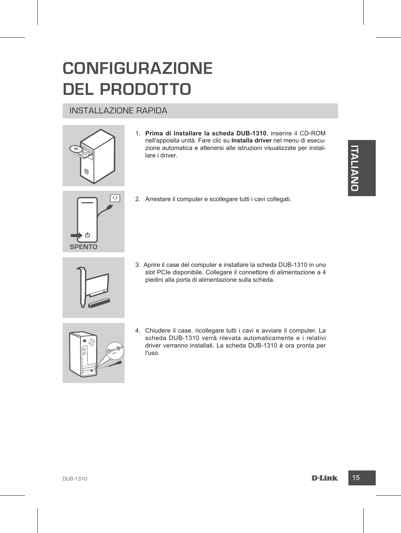## **CONFIGURAZIONE DEL PRODOTTO**

## INSTALLAZIONE RAPIDA



1. **Prima di installare la scheda DUB-1310**, inserire il CD-ROM nell'apposita unità. Fare clic su **Installa driver** nel menu di esecuzione automatica e attenersi alle istruzioni visualizzate per installare i driver.



2. Arrestare il computer e scollegare tutti i cavi collegati.

3. Aprire il case del computer e installare la scheda DUB-1310 in uno slot PCIe disponibile. Collegare il connettore di alimentazione a 4 piedini alla porta di alimentazione sulla scheda.



Experimental and the structure in the structure of the structure of the structure of the structure of the structure of the structure of the structure of the structure of the structure of the structure of the structure of t 4. Chiudere il case, ricollegare tutti i cavi e avviare il computer. La scheda DUB-1310 verrà rilevata automaticamente e i relativi driver verranno installati. La scheda DUB-1310 è ora pronta per l'uso.

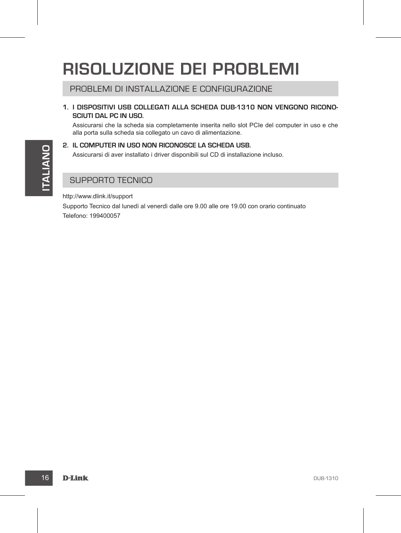## **RISOLUZIONE DEI PROBLEMI**

PROBLEMI DI INSTALLAZIONE E CONFIGURAZIONE

**1. I dispositivi USB collegati alla scheda DUB-1310 non vengono riconosciuti dal PC in uso.**

Assicurarsi che la scheda sia completamente inserita nello slot PCIe del computer in uso e che alla porta sulla scheda sia collegato un cavo di alimentazione.

**2. Il computer in uso non riconosce la scheda USB.**

Assicurarsi di aver installato i driver disponibili sul CD di installazione incluso.

#### SUPPORTO TECNICO

http://www.dlink.it/support

E. In Converting the Wash Vertical World Wardward, La Schedule and Diversion and CD di Installation inclusion<br>
IS DEPORTO TECNICO<br>
INDEPORTO TECNICO<br>
INDEPORTO TECNICO<br>
INDEPORTO TECNICO<br>
IS DEPORTO TECNICO<br>
IS SUPPORTO TE Supporto Tecnico dal lunedì al venerdì dalle ore 9.00 alle ore 19.00 con orario continuato Telefono: 199400057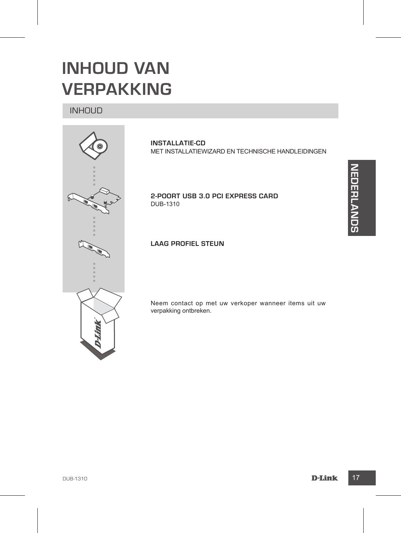

**RLANDS**

## **INHOUD VAN VERPAKKING**

#### INHOUD



**INSTALLATIE-CD**  MET INSTALLATIEWIZARD EN TECHNISCHE HANDLEIDINGEN

**2-poort USB 3.0 PCI Express Card** DUB-1310

#### **Laag profiel steun**

Neem contact op met uw verkoper wanneer items uit uw verpakking ontbreken.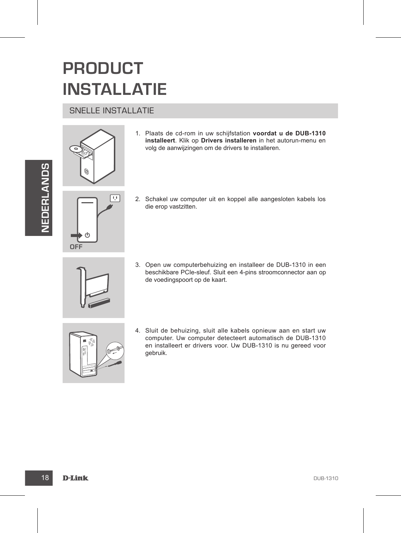## **PRODUCT INSTALLATIE**

#### SNELLE INSTALLATIE





- 1. Plaats de cd-rom in uw schijfstation **voordat u de DUB-1310 installeert**. Klik op **Drivers installeren** in het autorun-menu en volg de aanwijzingen om de drivers te installeren.
- 匝 **OFF**
- 2. Schakel uw computer uit en koppel alle aangesloten kabels los die erop vastzitten.



3. Open uw computerbehuizing en installeer de DUB-1310 in een beschikbare PCIe-sleuf. Sluit een 4-pins stroomconnector aan op de voedingspoort op de kaart.



THE SUP OF THE SUP OF THE SUP OF THE SUPPORT OF THE SUPPORT OF THE SUPPORT OF THE SUPPORT OF THE SUPPORT OF THE SUPPORT OF THE SUPPORT OF THE SUPPORT OF THE SUPPORT OF THE SUPPORT OF THE SUPPORT OF THE SUPPORT OF THE SUPPO 4. Sluit de behuizing, sluit alle kabels opnieuw aan en start uw computer. Uw computer detecteert automatisch de DUB-1310 en installeert er drivers voor. Uw DUB-1310 is nu gereed voor gebruik.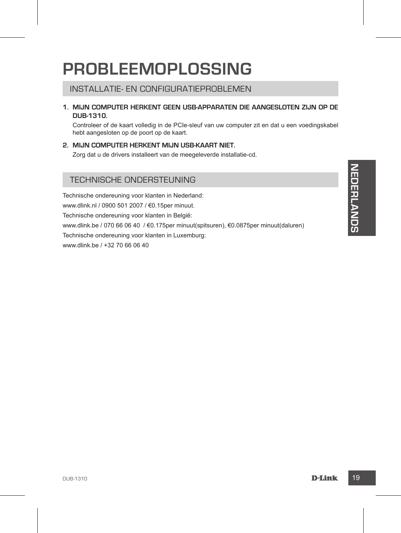## **PROBLEEMOPLOSSING**

#### INSTALLATIE- EN CONFIGURATIEPROBLEMEN

**1. Mijn computer herkent geen USB-apparaten die aangesloten zijn op de DUB-1310.**

Controleer of de kaart volledig in de PCIe-sleuf van uw computer zit en dat u een voedingskabel hebt aangesloten op de poort op de kaart.

#### **2. Mijn computer herkent mijn USB-kaart niet.**

Zorg dat u de drivers installeert van de meegeleverde installatie-cd.

#### TECHNISCHE ONDERSTEUNING

TECHNISCHE ONDERSTEUNING<br>
Technische ondereuning voor klanten in Nederland:<br>
www.dlink.hr / 0900 501 2007 / 60.1Sper minut.<br>
Technische ondereuning voor klanten in België:<br>
Technische ondereuning voor klanten in Luxemburg: Technische ondereuning voor klanten in Nederland: www.dlink.nl / 0900 501 2007 / €0.15per minuut. Technische ondereuning voor klanten in België: www.dlink.be / 070 66 06 40 / €0.175per minuut(spitsuren), €0.0875per minuut(daluren) Technische ondereuning voor klanten in Luxemburg: www.dlink.be / +32 70 66 06 40

**RLANDS**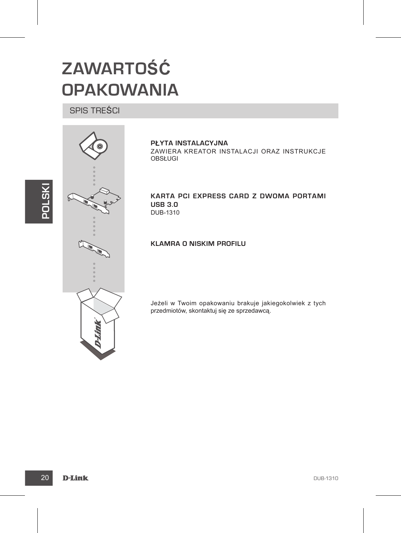# **ZAWARTOŚĆ OPAKOWANIA**

## SPIS TREŚCI



**PŁYTA INSTALACYJNA**  ZAWIERA KREATOR INSTALACJI ORAZ INSTRUKCJE OBSŁUGI

**Karta PCI Express Card z dwoma portami USB 3.0**  DUB-1310

**Klamra o niskim profilu**

Jeżeli w Twoim opakowaniu brakuje jakiegokolwiek z tych przedmiotów, skontaktuj się ze sprzedawcą.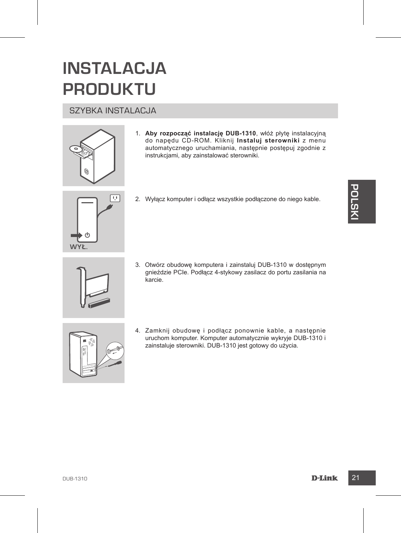## **INSTALACJA PRODUKTU**

#### SZYBKA INSTALACJA



- 1. **Aby rozpocząć instalację DUB-1310**, włóż płytę instalacyjną do napędu CD-ROM. Kliknij **Instaluj sterowniki** z menu automatycznego uruchamiania, następnie postępuj zgodnie z instrukcjami, aby zainstalować sterowniki.
- **Wył.**
- 2. Wyłącz komputer i odłącz wszystkie podłączone do niego kable.
- 2. Wylącz komputer i odłącz wszystkie podłączone do niego kable.<br>
2. Wyt.<br>
3. Otwórz, obudowe komputera i zainstaluj DUB-1310 w dostępnym<br>
gnieździe PCie. Podłącz 4-stykowy zasilacz do portu zasilania na<br>
karcie.<br>
4. Zamkn 3. Otwórz obudowę komputera i zainstaluj DUB-1310 w dostępnym gnieździe PCIe. Podłącz 4-stykowy zasilacz do portu zasilania na karcie.



4. Zamknij obudowę i podłącz ponownie kable, a następnie uruchom komputer. Komputer automatycznie wykryje DUB-1310 i zainstaluje sterowniki. DUB-1310 jest gotowy do użycia.

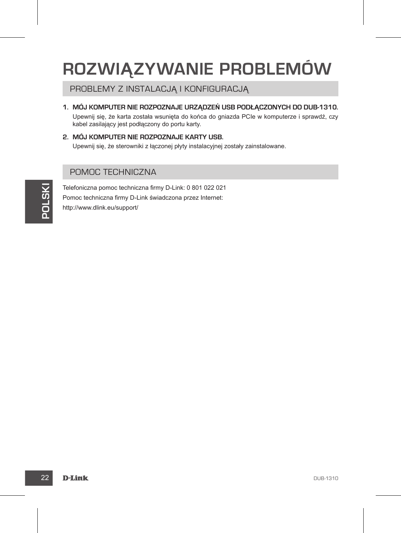## **ROZWIĄZYWANIE PROBLEMÓW**

PROBLEMY Z INSTALACJĄ I KONFIGURACJĄ

**1. Mój komputer nie rozpoznaje urządzeń USB podłączonych do DUB-1310.**

Upewnij się, że karta została wsunięta do końca do gniazda PCIe w komputerze i sprawdź, czy kabel zasilający jest podłączony do portu karty.

**2. Mój komputer nie rozpoznaje karty USB.** Upewnij się, że sterowniki z łączonej płyty instalacyjnej zostały zainstalowane.

#### POMOC TECHNICZNA

Every Telefoniczna pomoc techniczna firmy D-Link 0.001 022 021<br> **Pomoc** techniczna firmy D-Link świadczona przez Internet<br> **Polynowe dlink.eu/support/**<br> **Polynowe dlink.eu/support/**<br> **Polynowe dlink.eu/support/**<br> **Polynowe** Telefoniczna pomoc techniczna firmy D-Link: 0 801 022 021 Pomoc techniczna firmy D-Link świadczona przez Internet: http://www.dlink.eu/support/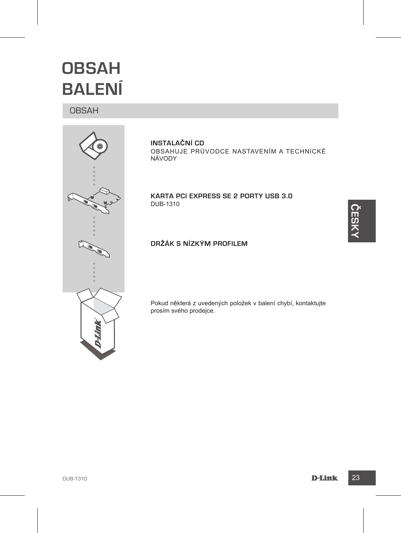## **OBSAH BALENÍ**

#### OBSAH



**INSTALAČNÍ CD**  OBSAHUJE PRŮVODCE NASTAVENÍM A TECHNICKÉ NÁVODY

**Karta PCI Express se 2 porty USB 3.0**  DUB-1310

**ČESK Y**

#### **Držák s nízkým profilem**

Pokud některá z uvedených položek v balení chybí, kontaktujte prosím svého prodejce.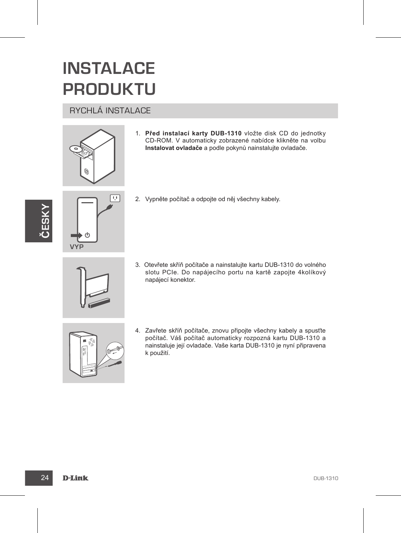## **INSTALACE PRODUKTU**

#### RYCHLÁ INSTALACE



1. **Před instalací karty DUB-1310** vložte disk CD do jednotky CD-ROM. V automaticky zobrazené nabídce klikněte na volbu **Instalovat ovladače** a podle pokynů nainstalujte ovladače.





2. Vypněte počítač a odpojte od něj všechny kabely.



3. Otevřete skříň počítače a nainstalujte kartu DUB-1310 do volného slotu PCIe. Do napájecího portu na kartě zapojte 4kolíkový napájecí konektor.



4. Zavřete skříň počítače, znovu připojte všechny kabely a spusťte počítač. Váš počítač automaticky rozpozná kartu DUB-1310 a nainstaluje její ovladače. Vaše karta DUB-1310 je nyní připravena k použití.

#### 24 D-Link Design and the contract of the contract of the contract of the contract of the contract of the contract of the contract of the contract of the contract of the contract of the contract of the contract of the contr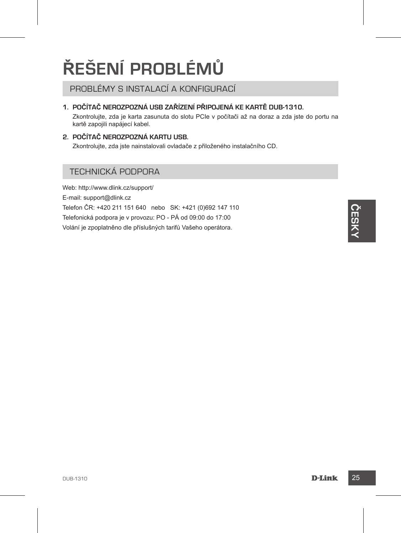# **ŘEŠENÍ PROBLÉMŮ**

PROBLÉMY S INSTALACÍ A KONFIGURACÍ

#### **1. Počítač nerozpozná USB zařízení připojená ke kartě DUB-1310.**

Zkontrolujte, zda je karta zasunuta do slotu PCIe v počítači až na doraz a zda jste do portu na kartě zapojili napájecí kabel.

#### **2. Počítač nerozpozná kartu USB.**

Zkontrolujte, zda jste nainstalovali ovladače z přiloženého instalačního CD.

#### TECHNICKÁ PODPORA

Web: http://www.dlink.cz/support/ E-mail: support@dlink.cz Telefon ČR: +420 211 151 640 nebo SK: +421 (0)692 147 110 Telefonická podpora je v provozu: PO - PÁ od 09:00 do 17:00 Volání je zpoplatněno dle příslušných tarifů Vašeho operátora.

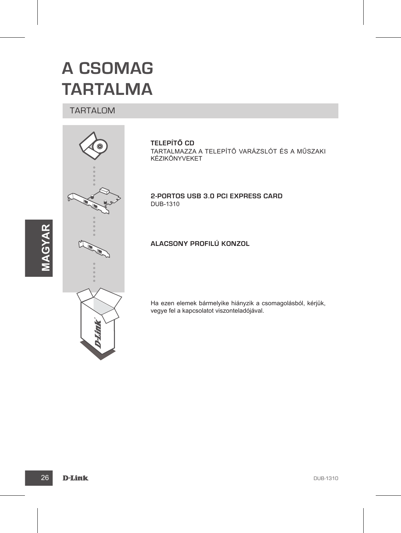## **A CSOMAG TARTALMA**

#### TARTALOM



**TELEPÍTŐ CD**  TARTALMAZZA A TELEPÍTŐ VARÁZSLÓT ÉS A MŰSZAKI KÉZIKÖNYVEKET

**2-portos USB 3.0 PCI Express Card** DUB-1310

**Alacsony profilú konzol**

Ha ezen elemek bármelyike hiányzik a csomagolásból, kérjük, vegye fel a kapcsolatot viszonteladójával.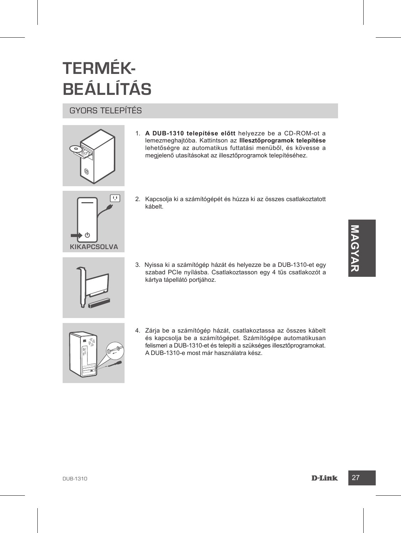# **TERMÉK-BEÁLLÍTÁS**

## GYORS TELEPÍTÉS



1. **A DUB-1310 telepítése előtt** helyezze be a CD-ROM-ot a lemezmeghajtóba. Kattintson az **Illesztőprogramok telepítése** lehetőségre az automatikus futtatási menüből, és kövesse a megjelenő utasításokat az illesztőprogramok telepítéséhez.



- 2. Kapcsolja ki a számítógépét és húzza ki az összes csatlakoztatott kábelt.
- 3. Nyissa ki a számítógép házát és helyezze be a DUB-1310-et egy szabad PCIe nyílásba. Csatlakoztasson egy 4 tűs csatlakozót a kártya tápellátó portjához.



XIKAPCSOLVA<br>
3. Nyissa ki a számlítógép házát és helyezze be a DUB-1310-et egy<br>
szábad PC inyilásbo. Csatlákoztasson egy 4 tűs csatlákoztas<br>
kártya tápellátó portjáboz.<br>
4. Zárja be a számlítógép házát, csatlákoztassa az ö 4. Zárja be a számítógép házát, csatlakoztassa az összes kábelt és kapcsolja be a számítógépet. Számítógépe automatikusan felismeri a DUB-1310-et és telepíti a szükséges illesztőprogramokat. A DUB-1310-e most már használatra kész.

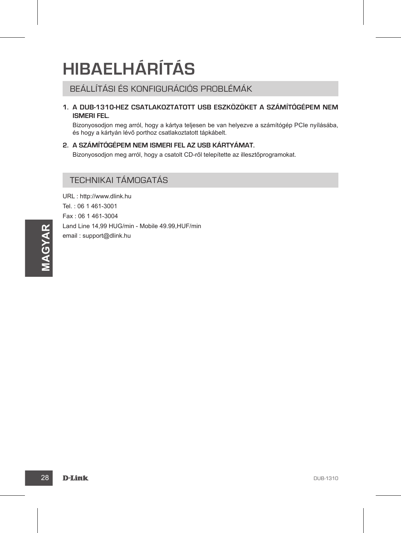## **HIBAELHÁRÍTÁS**

#### BEÁLLÍTÁSI ÉS KONFIGURÁCIÓS PROBLÉMÁK

**1. A DUB-1310-hez csatlakoztatott USB eszközöket a számítógépem nem ismeri fel.**

Bizonyosodjon meg arról, hogy a kártya teljesen be van helyezve a számítógép PCIe nyílásába, és hogy a kártyán lévő porthoz csatlakoztatott tápkábelt.

#### **2. A számítógépem nem ismeri fel az USB kártyámat.**

Bizonyosodjon meg arról, hogy a csatolt CD-ről telepítette az illesztőprogramokat.

#### TECHNIKAI TÁMOGATÁS

**28** D-Link<br>
anal isupport@dlink.hu<br>
anal isupport@dlink.hu<br>
<br>
28 D-Link<br>
29 D-Link URL : http://www.dlink.hu Tel. : 06 1 461-3001 Fax : 06 1 461-3004 Land Line 14,99 HUG/min - Mobile 49.99,HUF/min email : support@dlink.hu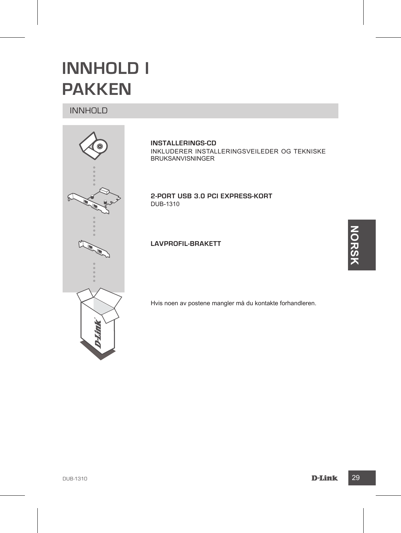## **INNHOLD I PAKKEN**

#### INNHOLD



**INSTALLERINGS-CD**  INKLUDERER INSTALLERINGSVEILEDER OG TEKNISKE BRUKSANVISNINGER

**2-Port USB 3.0 PCI Express-kort** DUB-1310

**Lavprofil-brakett**

Hvis noen av postene mangler må du kontakte forhandleren.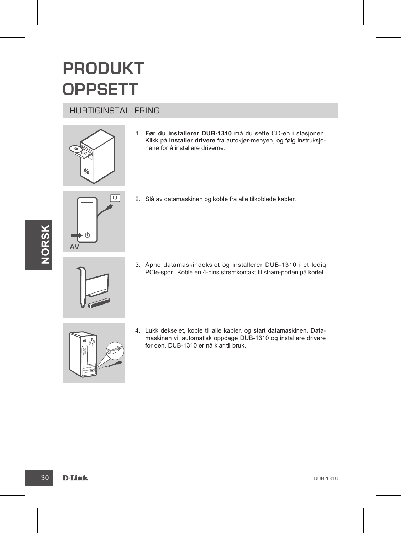## **PRODUKT OPPSETT**

#### HURTIGINSTALLERING



1. **Før du installerer DUB-1310** må du sette CD-en i stasjonen. Klikk på **Installer drivere** fra autokjør-menyen, og følg instruksjonene for å installere driverne.





2. Slå av datamaskinen og koble fra alle tilkoblede kabler.



3. Åpne datamaskindekslet og installerer DUB-1310 i et ledig PCIe-spor. Koble en 4-pins strømkontakt til strøm-porten på kortet.

4. Lukk dekselet, koble til alle kabler, og start datamaskinen. Datamaskinen vil automatisk oppdage DUB-1310 og installere drivere for den. DUB-1310 er nå klar til bruk.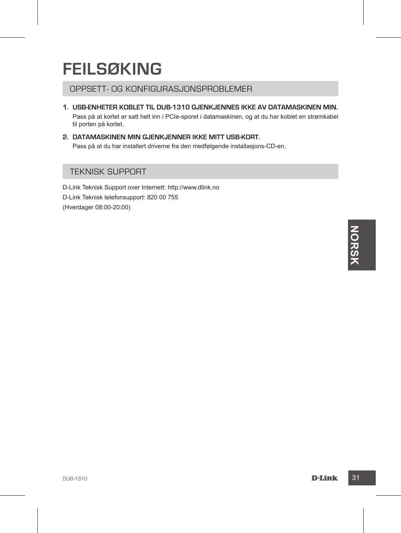## **FEILSØKING**

#### OPPSETT- OG KONFIGURASJONSPROBLEMER

- **1. USB-enheter koblet til DUB-1310 gjenkjennes ikke av datamaskinen min.**  Pass på at kortet er satt helt inn i PCIe-sporet i datamaskinen, og at du har koblet en strømkabel til porten på kortet.
- **2. Datamaskinen min gjenkjenner ikke mitt USB-kort.**  Pass på at du har installert driverne fra den medfølgende installasjons-CD-en.

#### TEKNISK SUPPORT

D-Link Teknisk Support over Internett: http://www.dlink.no D-Link Teknisk telefonsupport: 820 00 755 (Hverdager 08:00-20:00)

**DOSTAGE SERVICE SERVICE SERVICE SERVICE SERVICE SERVICE SERVICE SERVICE SERVICE SERVICE SERVICE SERVICE SERVICE SERVICE SERVICE SERVICE SERVICE SERVICE SERVICE SERVICE SERVICE SERVICE SERVICE SERVICE SERVICE SERVICE SERVI**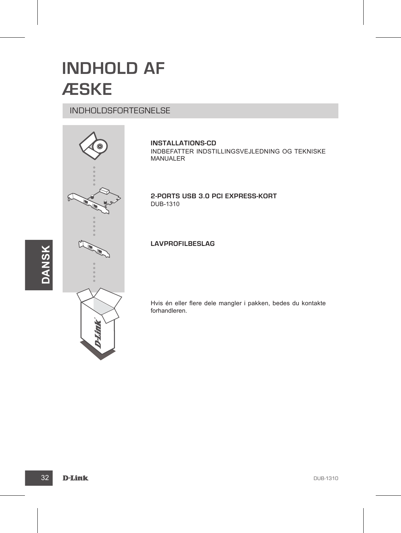## **INDHOLD AF ÆSKE**

#### INDHOLDSFORTEGNELSE



**INSTALLATIONS-CD**  INDBEFATTER INDSTILLINGSVEJLEDNING OG TEKNISKE MANUALER

**2-ports USB 3.0 PCI Express-kort** DUB-1310

#### **Lavprofilbeslag**

Hvis én eller flere dele mangler i pakken, bedes du kontakte forhandleren.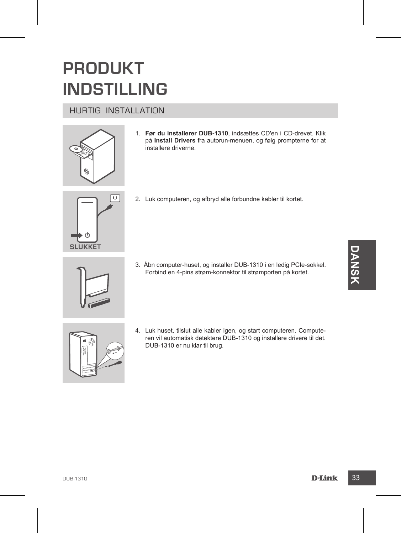## **PRODUKT INDSTILLING**

#### HURTIG INSTALLATION



1. **Før du installerer DUB-1310**, indsættes CD'en i CD-drevet. Klik på **Install Drivers** fra autorun-menuen, og følg prompterne for at installere driverne.



2. Luk computeren, og afbryd alle forbundne kabler til kortet.

3. Åbn computer-huset, og installer DUB-1310 i en ledig PCIe-sokkel. Forbind en 4-pins strøm-konnektor til strømporten på kortet.



4. Luk huset, tilslut alle kabler igen, og start computeren. Computeren vil automatisk detektere DUB-1310 og installere drivere til det. DUB-1310 er nu klar til brug.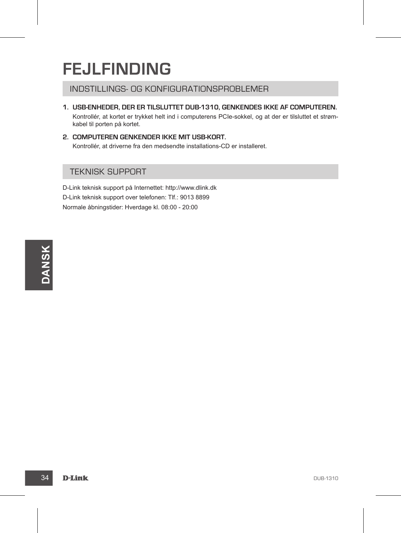## **FEJLFINDING**

INDSTILLINGS- OG KONFIGURATIONSPROBLEMER

- **1. USB-enheder, der er tilsluttet DUB-1310, genkendes ikke af computeren.** Kontrollér, at kortet er trykket helt ind i computerens PCIe-sokkel, og at der er tilsluttet et strømkabel til porten på kortet.
- **2. Computeren genkender ikke mit USB-kort.** Kontrollér, at driverne fra den medsendte installations-CD er installeret.

#### TEKNISK SUPPORT

D-Link teknisk support på Internettet: http://www.dlink.dk D-Link teknisk support over telefonen: Tlf.: 9013 8899 Normale åbningstider: Hverdage kl. 08:00 - 20:00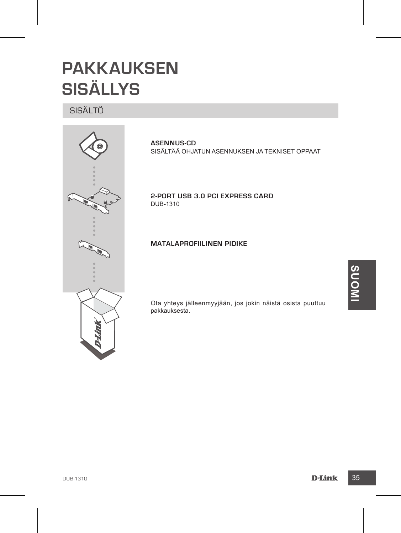## **PAKKAUKSEN SISÄLLYS**

#### SISÄLTÖ



**ASENNUS-CD**  SISÄLTÄÄ OHJATUN ASENNUKSEN JA TEKNISET OPPAAT

**2-Port USB 3.0 PCI Express Card** DUB-1310

**Matalaprofiilinen pidike**

Ota yhteys jälleenmyyjään, jos jokin näistä osista puuttuu pakkauksesta.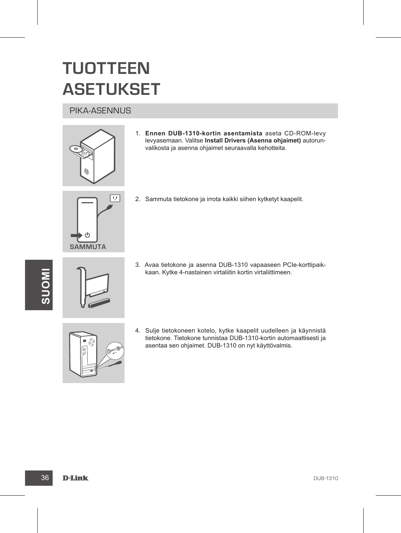## **TUOTTEEN ASETUKSET**

#### PIKA-ASENNUS



1. **Ennen DUB-1310-kortin asentamista** aseta CD-ROM-levy levyasemaan. Valitse **Install Drivers (Asenna ohjaimet)** autorunvalikosta ja asenna ohjaimet seuraavalla kehotteita.



2. Sammuta tietokone ja irrota kaikki siihen kytketyt kaapelit.



- 3. Avaa tietokone ja asenna DUB-1310 vapaaseen PCIe-korttipaikkaan. Kytke 4-nastainen virtaliitin kortin virtaliittimeen.
- 4. Sulje tietokoneen kotelo, kytke kaapelit uudelleen ja käynnistä tietokone. Tietokone tunnistaa DUB-1310-kortin automaattisesti ja asentaa sen ohjaimet. DUB-1310 on nyt käyttövalmis.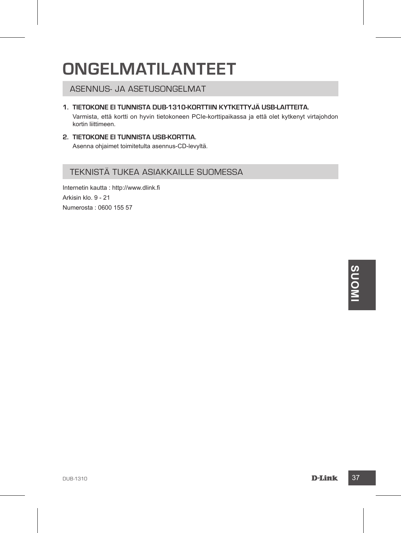## **ONGELMATILANTEET**

ASENNUS- JA ASETUSONGELMAT

#### **1. Tietokone ei tunnista DUB-1310-korttiin kytkettyjä USB-laitteita.**

Varmista, että kortti on hyvin tietokoneen PCIe-korttipaikassa ja että olet kytkenyt virtajohdon kortin liittimeen.

#### **2. Tietokone ei tunnista USB-korttia.** Asenna ohjaimet toimitetulta asennus-CD-levyltä.

#### TEKNISTÄ TUKEA ASIAKKAILLE SUOMESSA

Internetin kautta : http://www.dlink.fi Arkisin klo. 9 - 21 Numerosta : 0600 155 57

**DUB-1310**<br> **DLink** 37<br> **DLink** 37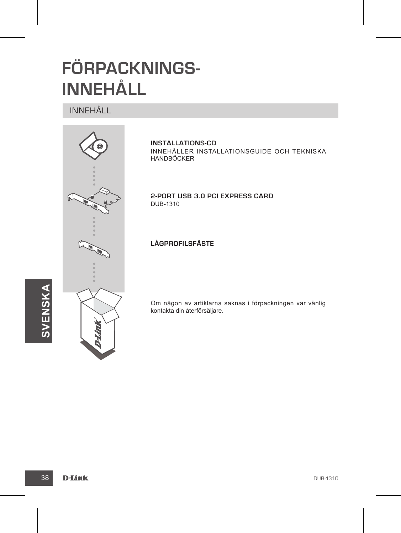## **FÖRPACKNINGS-INNEHÅLL**

## INNEHÅLL



**INSTALLATIONS-CD**  INNEHÅLLER INSTALLATIONSGUIDE OCH TEKNISKA HANDBÖCKER

**2-Port USB 3.0 PCI Express Card** DUB-1310

#### **Lågprofilsfäste**

Om någon av artiklarna saknas i förpackningen var vänlig kontakta din återförsäljare.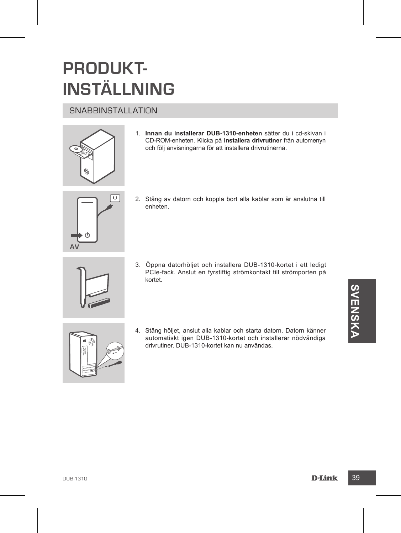## **PRODUKT-INSTÄLLNING**

#### **SNABBINSTALLATION**



1. **Innan du installerar DUB-1310-enheten** sätter du i cd-skivan i CD-ROM-enheten. Klicka på **Installera drivrutiner** från automenyn och följ anvisningarna för att installera drivrutinerna.



2. Stäng av datorn och koppla bort alla kablar som är anslutna till enheten.



3. Öppna datorhöljet och installera DUB-1310-kortet i ett ledigt PCIe-fack. Anslut en fyrstiftig strömkontakt till strömporten på kortet.



4. Stäng höljet, anslut alla kablar och starta datom. Datom känner<br>automatiskt igen DUB-1310-kortet och installerar növvandiga<br>drivrutiner. DUB-1310-kortet kan nu användas.<br>D-1310<br>D-1310<br>D-1411k 4. Stäng höljet, anslut alla kablar och starta datorn. Datorn känner automatiskt igen DUB-1310-kortet och installerar nödvändiga drivrutiner. DUB-1310-kortet kan nu användas.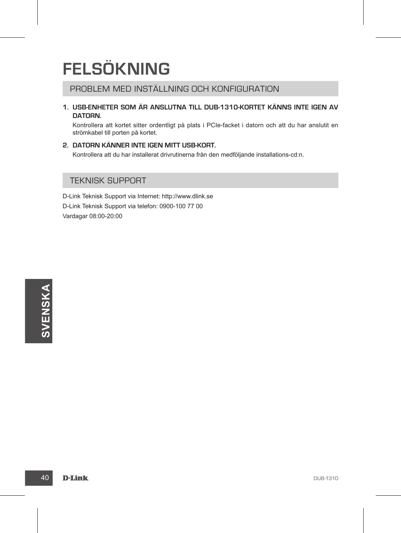## **FELSÖKNING**

PROBLEM MED INSTÄLLNING OCH KONFIGURATION

**1. USB-enheter som är anslutna till DUB-1310-kortet känns inte igen av datorn.**

Kontrollera att kortet sitter ordentligt på plats i PCIe-facket i datorn och att du har anslutit en strömkabel till porten på kortet.

**2. Datorn känner inte igen mitt USB-kort.**

Kontrollera att du har installerat drivrutinerna från den medföljande installations-cd:n.

#### TEKNISK SUPPORT

D-Link Teknisk Support via Internet: http://www.dlink.se D-Link Teknisk Support via telefon: 0900-100 77 00 Vardagar 08:00-20:00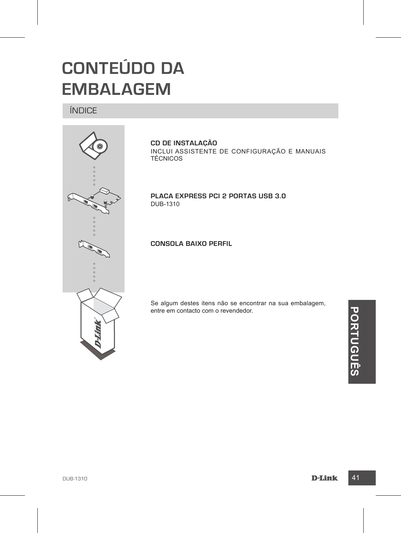# **CONTEÚDO DA EMBALAGEM**

ÍNDICE



**CD DE INSTALAÇÃO**  INCLUI ASSISTENTE DE CONFIGURAÇÃO e MANUAIS TÉCNICOS

**Placa Express PCI 2 Portas USB 3.0**  DUB-1310

**Consola baixo perfil**

Se algum destes itens não se encontrar na sua embalagem, entre em contacto com o revendedor.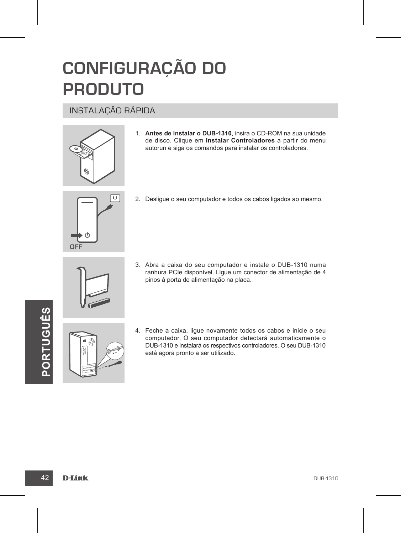## **CONFIGURAÇÃO DO PRODUTO**

#### INSTALAÇÃO RÁPIDA



1. **Antes de instalar o DUB-1310**, insira o CD-ROM na sua unidade de disco. Clique em **Instalar Controladores** a partir do menu autorun e siga os comandos para instalar os controladores.



2. Desligue o seu computador e todos os cabos ligados ao mesmo.



3. Abra a caixa do seu computador e instale o DUB-1310 numa ranhura PCIe disponível. Ligue um conector de alimentação de 4 pinos à porta de alimentação na placa.



4. Feche a caixa, ligue novamente todos os cabos e inicie o seu<br>
computador. O seu computador detectará automaticamente o<br>
está agora pronto a ser utilizado.<br> **PORTUGUES DE CONSECTE DE CONSECTE DE CONSECTE DE CONSECTED DE** 4. Feche a caixa, ligue novamente todos os cabos e inicie o seu computador. O seu computador detectará automaticamente o DUB-1310 e instalará os respectivos controladores. O seu DUB-1310 está agora pronto a ser utilizado.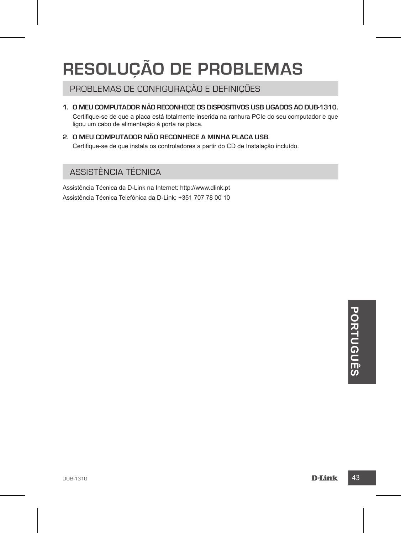## **RESOLUÇÃO DE PROBLEMAS**

PROBLEMAS DE CONFIGURAÇÃO E DEFINIÇÕES

**1. O meu computador não reconhece os dispositivos USB ligados ao DUB-1310.**

Certifique-se de que a placa está totalmente inserida na ranhura PCIe do seu computador e que ligou um cabo de alimentação à porta na placa.

**2. O meu computador não reconhece a minha placa USB.** Certifique-se de que instala os controladores a partir do CD de Instalação incluído.

#### ASSISTÊNCIA TÉCNICA

Assistência Técnica da D-Link na Internet: http://www.dlink.pt Assistência Técnica Telefónica da D-Link: +351 707 78 00 10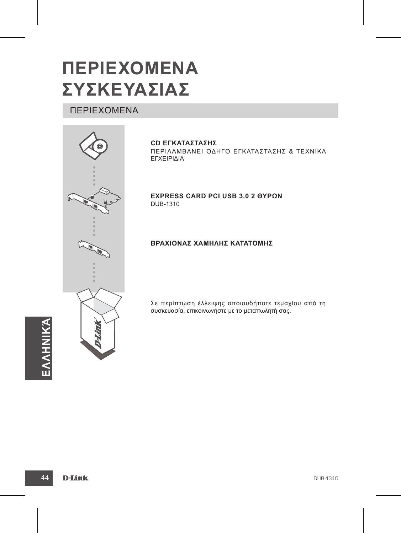# **ΠΕΡΙΕΧΟΜΕΝΑ ΣΥΣΚΕΥΑΣΙΑΣ**

## ΠΕΡΙΕΧΟΜΕΝΑ



**CD ΕΓΚΑΤΑΣΤΑΣΗΣ**

ΠΕΡΙΛΑΜΒΑΝΕΙ ΟΔΗΓΟ ΕΓΚΑΤΑΣΤΑΣΗΣ & ΤΕΧΝΙΚΑ ΕΓΧΕΙΡΙΔΙΑ

**Express Card PCI USB 3.0 2 θυρών** DUB-1310

#### **Βραχίονας χαμηλής κατατομής**

Σε περίπτωση έλλειψης οποιουδήποτε τεμαχίου από τη συσκευασία, επικοινωνήστε με το μεταπωλητή σας.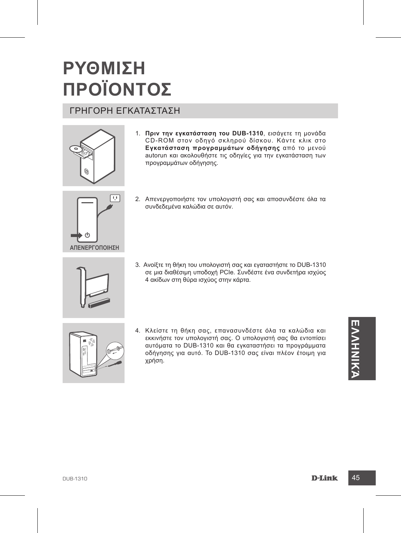# **ΡΥΘΜΙΣΗ ΠΡΟΪΟΝΤΟΣ**

## ΓΡΗΓΟΡΗ ΕΓΚΑΤΑΣΤΑΣΗ



1. **Πριν την εγκατάσταση του DUB-1310**, εισάγετε τη μονάδα CD-ROM στον οδηγό σκληρού δίσκου. Κάντε κλικ στο **Εγκατάσταση προγραμμάτων οδήγησης** από το μενού autorun και ακολουθήστε τις οδηγίες για την εγκατάσταση των προγραμμάτων οδήγησης.



- 2. Απενεργοποιήστε τον υπολογιστή σας και αποσυνδέστε όλα τα συνδεδεμένα καλώδια σε αυτόν.
- 
- 3. Ανοίξτε τη θήκη του υπολογιστή σας και εγαταστήστε το DUB-1310 σε μια διαθέσιμη υποδοχή PCIe. Συνδέστε ένα συνδετήρα ισχύος 4 ακίδων στη θύρα ισχύος στην κάρτα.



4. Κλείστε τη θήκη σας, επανασυνδέστε όλα τα καλώδια και<br>
εκκινήστε τον υπολογιστή σας. Ο υπολογιστή σας θα εντοπίσει<br>
αυτόματα το DUB-1310 και θα εγκαταστήσει τα προγράμματα<br>
χρήση.<br>
χρήση.<br>
ΣΕΙΣΙΣΙΣΙΣΙΣΙΣΙΣΙΣΙΣΙΣΙΣΙΣΙΣΙ 4. Κλείστε τη θήκη σας, επανασυνδέστε όλα τα καλώδια και εκκινήστε τον υπολογιστή σας. Ο υπολογιστή σας θα εντοπίσει αυτόματα το DUB-1310 και θα εγκαταστήσει τα προγράμματα οδήγησης για αυτό. Το DUB-1310 σας είναι πλέον έτοιμη για χρήση.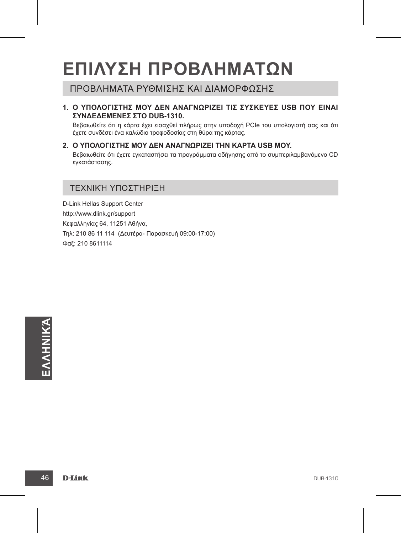# **ΕΠΙΛΥΣΗ ΠΡΟΒΛΗΜΑΤΩΝ**

#### ΠΡΟΒΛΗΜΑΤΑ ΡΥΘΜΙΣΗΣ ΚΑΙ ΔΙΑΜΟΡΦΩΣΗΣ

**1. Ο υπολογιστής μου δεν αναγνωρίζει τις συσκευές USB που είναι συνδεδεμένες στο DUB-1310.**

Βεβαιωθείτε ότι η κάρτα έχει εισαχθεί πλήρως στην υποδοχή PCIe του υπολογιστή σας και ότι έχετε συνδέσει ένα καλώδιο τροφοδοσίας στη θύρα της κάρτας.

**2. Ο υπολογιστής μου δεν αναγνωρίζει την κάρτα USB μου.** Βεβαιωθείτε ότι έχετε εγκαταστήσει τα προγράμματα οδήγησης από το συμπεριλαμβανόμενο CD εγκατάστασης.

#### ΤΕΧΝΙΚΉ ΥΠΟΣΤΉΡΙΞΗ

D-Link Hellas Support Center http://www.dlink.gr/support Κεφαλληνίας 64, 11251 Αθήνα, Τηλ: 210 86 11 114 (Δευτέρα- Παρασκευή 09:00-17:00) Φαξ: 210 8611114

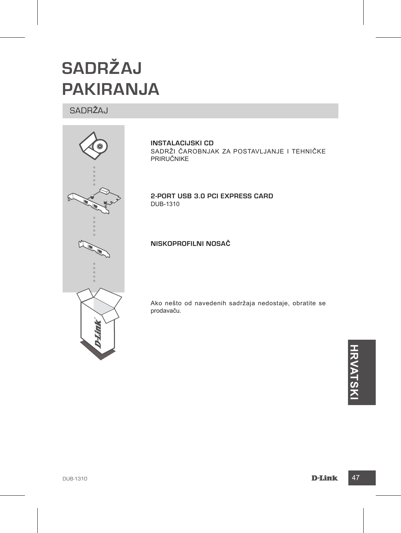# **SADRŽAJ PAKIRANJA**

#### SADRŽAJ



**INSTALACIJSKI CD**  SADRŽI ČAROBNJAK ZA POSTAVLJANJE I TEHNIČKE PRIRUČNIKE

**2-Port USB 3.0 PCI Express Card** DUB-1310

**Niskoprofilni nosač**

Ako nešto od navedenih sadržaja nedostaje, obratite se prodavaču.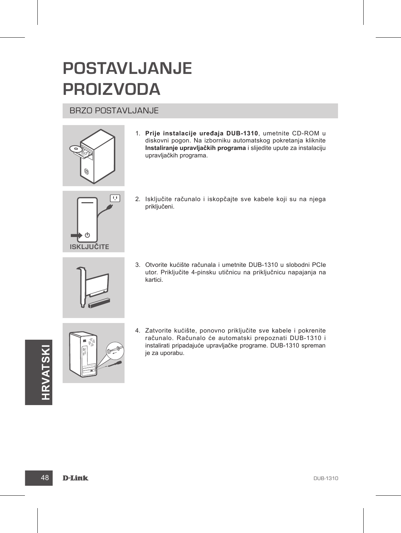## **POSTAVLJANJE PROIZVODA**

#### BRZO POSTAVLJANJE



1. **Prije instalacije uređaja DUB-1310**, umetnite CD-ROM u diskovni pogon. Na izborniku automatskog pokretanja kliknite **Instaliranje upravljačkih programa** i slijedite upute za instalaciju upravljačkih programa.



2. Isključite računalo i iskopčajte sve kabele koji su na njega priključeni.



3. Otvorite kućište računala i umetnite DUB-1310 u slobodni PCIe utor. Priključite 4-pinsku utičnicu na priključnicu napajanja na kartici.





4. Zatvorite kućište, ponovno priključite sve kabele i pokrenite računalo. Računalo će automatski prepoznati DUB-1310 i instalirati pripadajuće upravljačke programe. DUB-1310 spreman je za uporabu.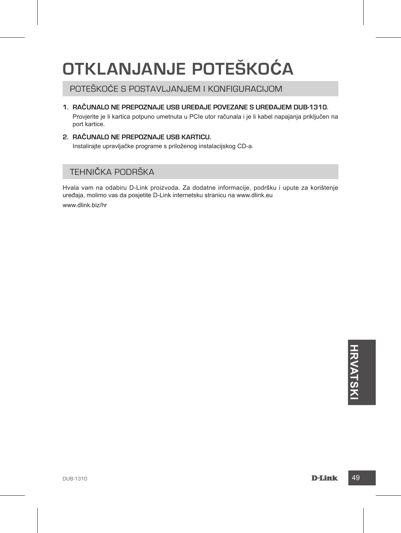## **OTKLANJANJE POTEŠKOĆA**

## POTEŠKOĆE S POSTAVLJANJEM I KONFIGURACIJOM

#### **1. Računalo ne prepoznaje USB uređaje povezane s uređajem DUB-1310.**

Provjerite je li kartica potpuno umetnuta u PCIe utor računala i je li kabel napajanja priključen na port kartice.

**2. Računalo ne prepoznaje USB karticu.** Instalirajte upravljačke programe s priloženog instalacijskog CD-a.

## TEHNIČKA PODRŠKA

Hvala vam na odabiru D-Link proizvoda. Za dodatne informacije, podršku i upute za korištenje uređaja, molimo vas da posjetite D-Link internetsku stranicu na www.dlink.eu

www.dlink.biz/hr

**DEATRICK CONSTRUCTION**<br>DEATRIC<br>DEATRIC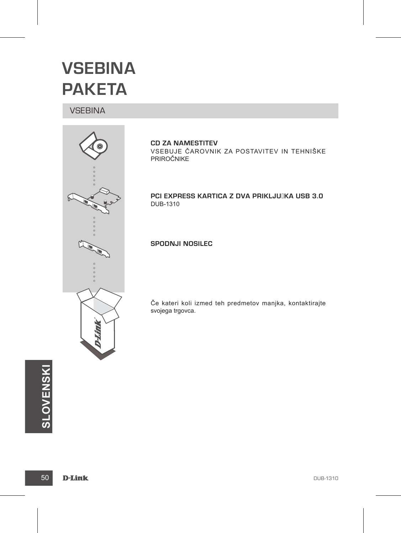## **VSEBINA PAKETA**

#### **VSEBINA**



**CD ZA NAMESTITEV** VSEBUJE ČAROVNIK ZA POSTAVITEV IN TEHNIŠKE PRIROČNIKE

**PCI EXPRESS KARTICA Z DVA PRIKLJUJKA USB 3.0** DUB-1310

#### **Spodnji nosilec**

Če kateri koli izmed teh predmetov manjka, kontaktirajte svojega trgovca.

**SLOVENSKI**<br>50 **D-Link**<br>50 **D-Link**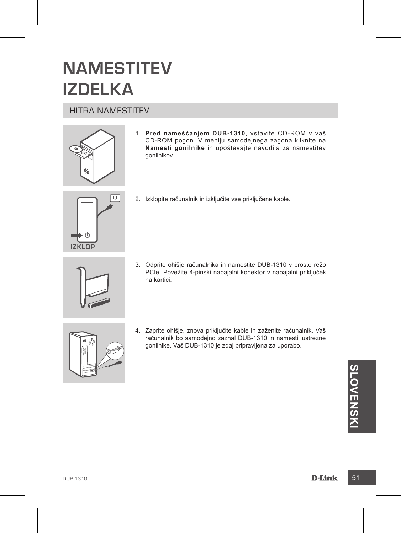## **NAMESTITEV IZDELKA**

#### HITRA NAMESTITEV



1. **Pred nameščanjem DUB-1310**, vstavite CD-ROM v vaš CD-ROM pogon. V meniju samodejnega zagona kliknite na **Namesti gonilnike** in upoštevajte navodila za namestitev gonilnikov.



2. Izklopite računalnik in izključite vse priključene kable.



3. Odprite ohišje računalnika in namestite DUB-1310 v prosto režo PCIe. Povežite 4-pinski napajalni konektor v napajalni priključek na kartici.



4. Zaprite ohišje, znova priključite kable in zaženite računalnik. Vaš računalnik bo samodejno zaznal DUB-1310 in namestil ustrezne gonilnike. Vaš DUB-1310 je zdaj pripravljena za uporabo.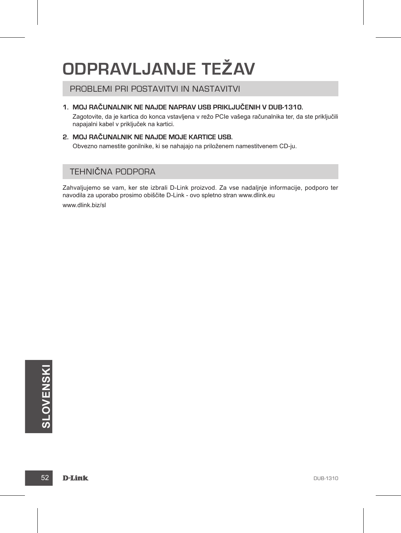# **ODPRAVLJANJE TEŽAV**

#### PROBLEMI PRI POSTAVITVI IN NASTAVITVI

#### **1. Moj računalnik ne najde naprav USB priključenih v DUB-1310.**

Zagotovite, da je kartica do konca vstavljena v režo PCIe vašega računalnika ter, da ste priključili napajalni kabel v priključek na kartici.

#### **2. Moj računalnik ne najde moje kartice USB.**

Obvezno namestite gonilnike, ki se nahajajo na priloženem namestitvenem CD-ju.

#### TEHNIČNA PODPORA

Zahvaljujemo se vam, ker ste izbrali D-Link proizvod. Za vse nadaljnje informacije, podporo ter navodila za uporabo prosimo obiščite D-Link - ovo spletno stran www.dlink.eu

www.dlink.biz/sl

**SLOVENSKI**<br>52 **D-Link**<br>52 **D-Link**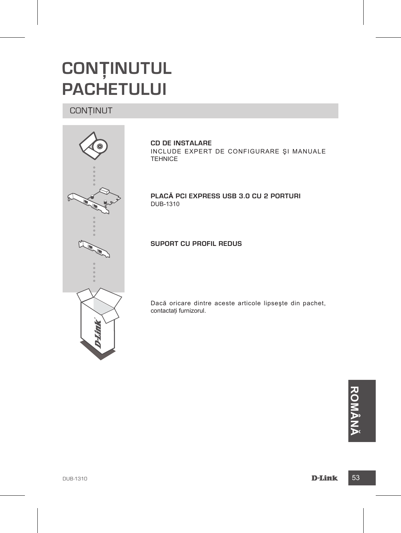## **CONŢINUTUL PACHETULUI**

#### **CONTINUT**



**CD DE INSTALARE**  INCLUDE EXPERT DE CONFIGURARE ŞI MANUALE **TEHNICE** 

**Placă PCI Express USB 3.0 cu 2 porturi** DUB-1310

**Suport cu profil redus**

Dacă oricare dintre aceste articole lipseşte din pachet, contactati furnizorul.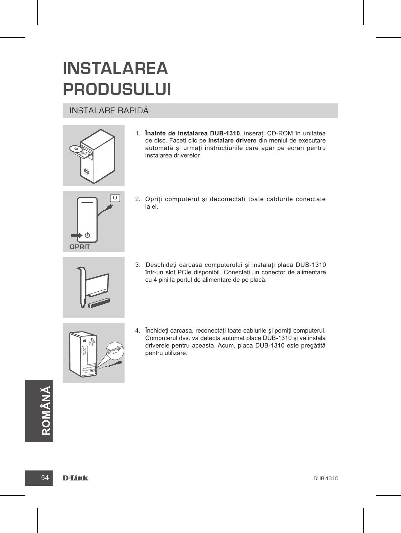# **INSTALAREA PRODUSULUI**

#### INSTALARE RAPIDĂ



1. **Înainte de instalarea DUB-1310**, inseraţi CD-ROM în unitatea de disc. Faceţi clic pe **Instalare drivere** din meniul de executare automată și urmați instrucțiunile care apar pe ecran pentru instalarea driverelor.



2. Opriti computerul și deconectati toate cablurile conectate la el.



3. Deschideţi carcasa computerului şi instalaţi placa DUB-1310 într-un slot PCIe disponibil. Conectaţi un conector de alimentare cu 4 pini la portul de alimentare de pe placă.



4. Închideti carcasa, reconectati toate cablurile și porniti computerul. Computerul dvs. va detecta automat placa DUB-1310 şi va instala driverele pentru aceasta. Acum, placa DUB-1310 este pregătită pentru utilizare.

**ROMÂNĂ**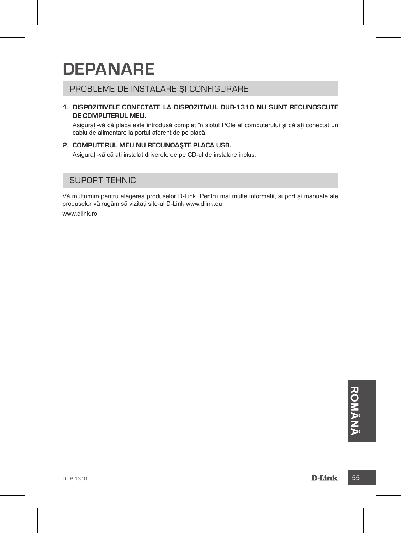## **DEPANARE**

#### PROBLEME DE INSTALARE ŞI CONFIGURARE

#### **1. Dispozitivele conectate la dispozitivul DUB-1310 nu sunt recunoscute de computerul meu.**

Asigurați-vă că placa este introdusă complet în slotul PCIe al computerului și că ați conectat un cablu de alimentare la portul aferent de pe placă.

#### **2. Computerul meu nu recunoaşte placa USB.**

Asigurati-vă că ati instalat driverele de pe CD-ul de instalare inclus.

#### SUPORT TEHNIC

Vă mulţumim pentru alegerea produselor D-Link. Pentru mai multe informaţii, suport şi manuale ale produselor vă rugăm să vizitati site-ul D-Link www.dlink.eu

www.dlink.ro